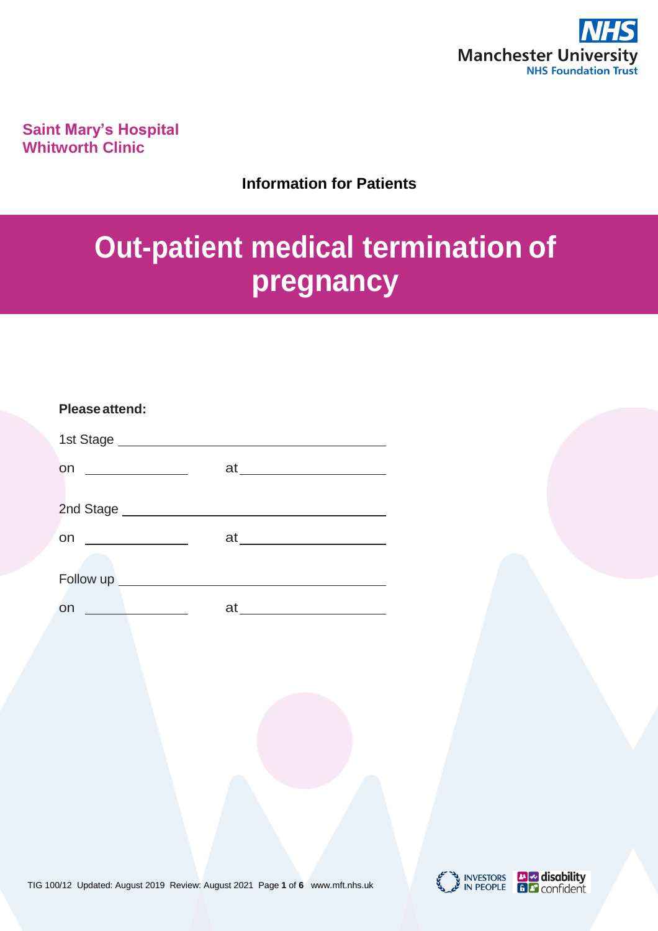

**Saint Mary's Hospital Whitworth Clinic**

## **Information for Patients**

# **Out-patient medical termination of pregnancy**

| Please attend:                                                      |                                                                                                 |
|---------------------------------------------------------------------|-------------------------------------------------------------------------------------------------|
|                                                                     |                                                                                                 |
| <b>on</b><br><u> 1989 - Andrea Barbara, poeta espa</u>              |                                                                                                 |
|                                                                     |                                                                                                 |
| <b>on</b><br><u> 1990 - Jan Barbara Barbara, poeta esp</u>          | at <u>______________</u>                                                                        |
|                                                                     |                                                                                                 |
| <u> 1999 - John Barn Barn, amerikansk politiker (d. 1989)</u><br>on | at<br>the control of the control of the control of the control of the control of the control of |





INVESTORS **The disability**<br>IN PEOPLE **E F** confident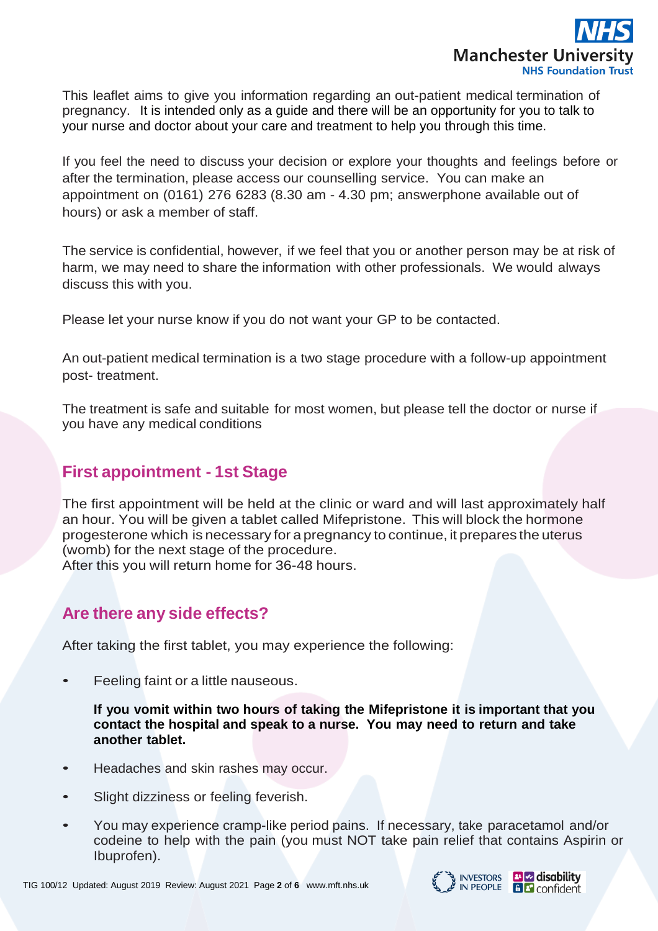

This leaflet aims to give you information regarding an out-patient medical termination of pregnancy. It is intended only as a guide and there will be an opportunity for you to talk to your nurse and doctor about your care and treatment to help you through this time.

If you feel the need to discuss your decision or explore your thoughts and feelings before or after the termination, please access our counselling service. You can make an appointment on (0161) 276 6283 (8.30 am - 4.30 pm; answerphone available out of hours) or ask a member of staff.

The service is confidential, however, if we feel that you or another person may be at risk of harm, we may need to share the information with other professionals. We would always discuss this with you.

Please let your nurse know if you do not want your GP to be contacted.

An out-patient medical termination is a two stage procedure with a follow-up appointment post- treatment.

The treatment is safe and suitable for most women, but please tell the doctor or nurse if you have any medical conditions

## **First appointment - 1st Stage**

The first appointment will be held at the clinic or ward and will last approximately half an hour. You will be given a tablet called Mifepristone. This will block the hormone progesterone which is necessary for a pregnancy to continue, it prepares the uterus (womb) for the next stage of the procedure. After this you will return home for 36-48 hours.

## **Are there any side effects?**

After taking the first tablet, you may experience the following:

• Feeling faint or a little nauseous.

**If you vomit within two hours of taking the Mifepristone it is important that you contact the hospital and speak to a nurse. You may need to return and take another tablet.**

- Headaches and skin rashes may occur.
- Slight dizziness or feeling feverish.
- You may experience cramp-like period pains. If necessary, take paracetamol and/or codeine to help with the pain (you must NOT take pain relief that contains Aspirin or Ibuprofen).

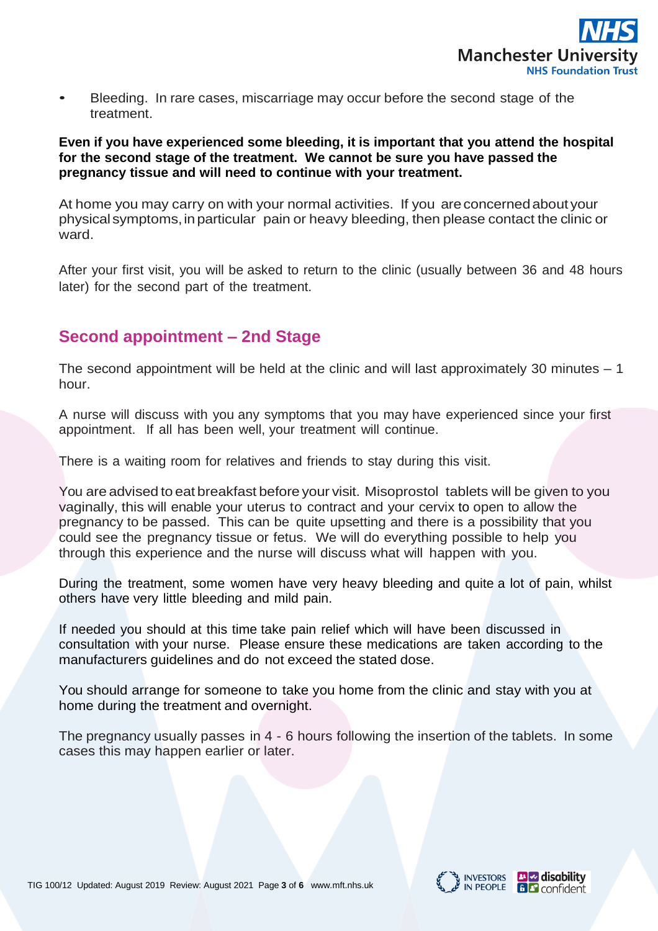

• Bleeding. In rare cases, miscarriage may occur before the second stage of the treatment.

#### **Even if you have experienced some bleeding, it is important that you attend the hospital for the second stage of the treatment. We cannot be sure you have passed the pregnancy tissue and will need to continue with your treatment.**

At home you may carry on with your normal activities. If you areconcernedabout your physical symptoms,inparticular pain or heavy bleeding, then please contact the clinic or ward.

After your first visit, you will be asked to return to the clinic (usually between 36 and 48 hours later) for the second part of the treatment.

## **Second appointment – 2nd Stage**

The second appointment will be held at the clinic and will last approximately 30 minutes  $-1$ hour.

A nurse will discuss with you any symptoms that you may have experienced since your first appointment. If all has been well, your treatment will continue.

There is a waiting room for relatives and friends to stay during this visit.

You are advised to eat breakfast before your visit. Misoprostol tablets will be given to you vaginally, this will enable your uterus to contract and your cervix to open to allow the pregnancy to be passed. This can be quite upsetting and there is a possibility that you could see the pregnancy tissue or fetus. We will do everything possible to help you through this experience and the nurse will discuss what will happen with you.

During the treatment, some women have very heavy bleeding and quite a lot of pain, whilst others have very little bleeding and mild pain.

If needed you should at this time take pain relief which will have been discussed in consultation with your nurse. Please ensure these medications are taken according to the manufacturers guidelines and do not exceed the stated dose.

You should arrange for someone to take you home from the clinic and stay with you at home during the treatment and overnight.

The pregnancy usually passes in 4 - 6 hours following the insertion of the tablets. In some cases this may happen earlier or later.





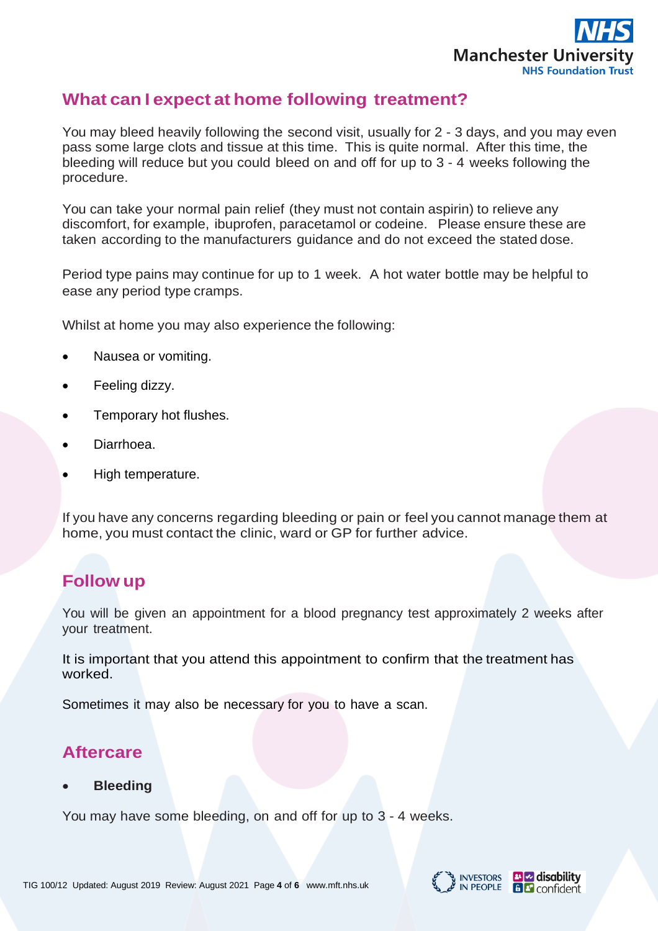

## **What can I expect at home following treatment?**

You may bleed heavily following the second visit, usually for 2 - 3 days, and you may even pass some large clots and tissue at this time. This is quite normal. After this time, the bleeding will reduce but you could bleed on and off for up to 3 - 4 weeks following the procedure.

You can take your normal pain relief (they must not contain aspirin) to relieve any discomfort, for example, ibuprofen, paracetamol or codeine. Please ensure these are taken according to the manufacturers guidance and do not exceed the stated dose.

Period type pains may continue for up to 1 week. A hot water bottle may be helpful to ease any period type cramps.

Whilst at home you may also experience the following:

- Nausea or vomiting.
- Feeling dizzy.
- Temporary hot flushes.
- Diarrhoea.
- High temperature.

If you have any concerns regarding bleeding or pain or feel you cannot manage them at home, you must contact the clinic, ward or GP for further advice.

# **Follow up**

You will be given an appointment for a blood pregnancy test approximately 2 weeks after your treatment.

It is important that you attend this appointment to confirm that the treatment has worked.

Sometimes it may also be necessary for you to have a scan.

# **Aftercare**

#### • **Bleeding**

You may have some bleeding, on and off for up to 3 - 4 weeks.

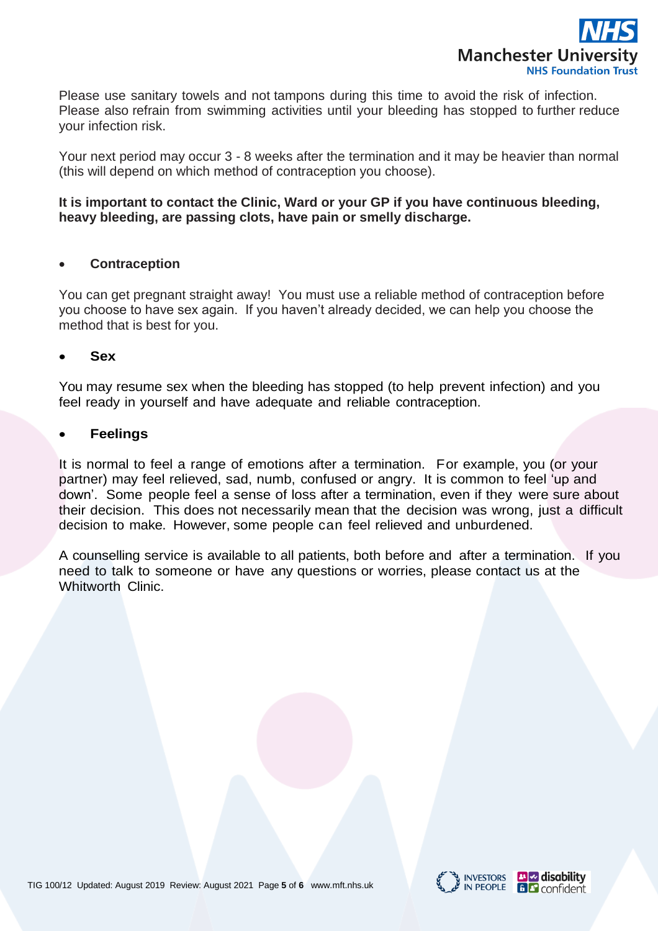

Please use sanitary towels and not tampons during this time to avoid the risk of infection. Please also refrain from swimming activities until your bleeding has stopped to further reduce your infection risk.

Your next period may occur 3 - 8 weeks after the termination and it may be heavier than normal (this will depend on which method of contraception you choose).

#### **It is important to contact the Clinic, Ward or your GP if you have continuous bleeding, heavy bleeding, are passing clots, have pain or smelly discharge.**

#### • **Contraception**

You can get pregnant straight away! You must use a reliable method of contraception before you choose to have sex again. If you haven't already decided, we can help you choose the method that is best for you.

#### • **Sex**

You may resume sex when the bleeding has stopped (to help prevent infection) and you feel ready in yourself and have adequate and reliable contraception.

#### • **Feelings**

It is normal to feel a range of emotions after a termination. For example, you (or your partner) may feel relieved, sad, numb, confused or angry. It is common to feel 'up and down'. Some people feel a sense of loss after a termination, even if they were sure about their decision. This does not necessarily mean that the decision was wrong, just a difficult decision to make. However, some people can feel relieved and unburdened.

A counselling service is available to all patients, both before and after a termination. If you need to talk to someone or have any questions or worries, please contact us at the Whitworth Clinic.